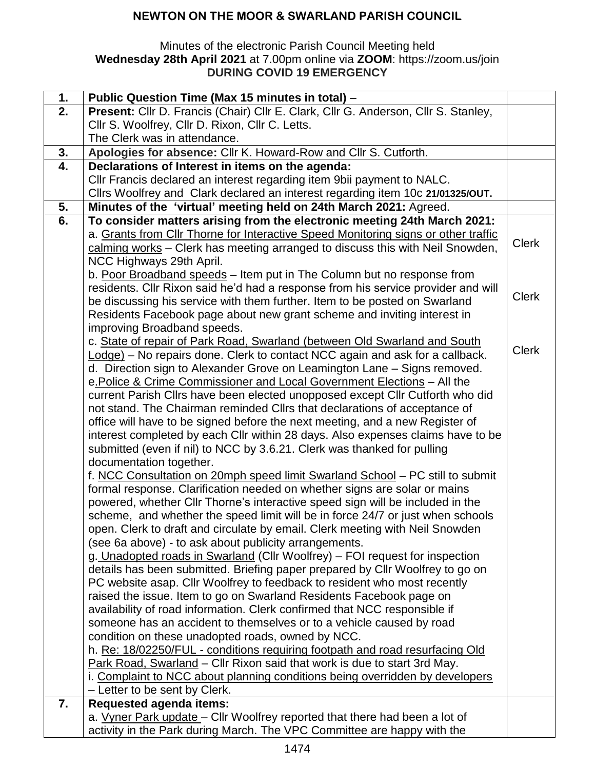## **NEWTON ON THE MOOR & SWARLAND PARISH COUNCIL**

#### Minutes of the electronic Parish Council Meeting held **Wednesday 28th April 2021** at 7.00pm online via **ZOOM**: https://zoom.us/join **DURING COVID 19 EMERGENCY**

| 1. | Public Question Time (Max 15 minutes in total) -                                                                                                             |              |
|----|--------------------------------------------------------------------------------------------------------------------------------------------------------------|--------------|
| 2. | Present: Cllr D. Francis (Chair) Cllr E. Clark, Cllr G. Anderson, Cllr S. Stanley,                                                                           |              |
|    | Cllr S. Woolfrey, Cllr D. Rixon, Cllr C. Letts.                                                                                                              |              |
|    | The Clerk was in attendance.                                                                                                                                 |              |
| 3. | Apologies for absence: Cllr K. Howard-Row and Cllr S. Cutforth.                                                                                              |              |
| 4. | Declarations of Interest in items on the agenda:                                                                                                             |              |
|    | Cllr Francis declared an interest regarding item 9bii payment to NALC.                                                                                       |              |
|    | Cllrs Woolfrey and Clark declared an interest regarding item 10c 21/01325/OUT.                                                                               |              |
| 5. | Minutes of the 'virtual' meeting held on 24th March 2021: Agreed.                                                                                            |              |
| 6. | To consider matters arising from the electronic meeting 24th March 2021:                                                                                     |              |
|    | a. Grants from Cllr Thorne for Interactive Speed Monitoring signs or other traffic                                                                           |              |
|    | calming works - Clerk has meeting arranged to discuss this with Neil Snowden,                                                                                | <b>Clerk</b> |
|    | NCC Highways 29th April.                                                                                                                                     |              |
|    | b. Poor Broadband speeds - Item put in The Column but no response from                                                                                       |              |
|    | residents. Cllr Rixon said he'd had a response from his service provider and will                                                                            |              |
|    | be discussing his service with them further. Item to be posted on Swarland                                                                                   | <b>Clerk</b> |
|    | Residents Facebook page about new grant scheme and inviting interest in                                                                                      |              |
|    | improving Broadband speeds.                                                                                                                                  |              |
|    | c. State of repair of Park Road, Swarland (between Old Swarland and South                                                                                    | <b>Clerk</b> |
|    | Lodge) – No repairs done. Clerk to contact NCC again and ask for a callback.                                                                                 |              |
|    | d. Direction sign to Alexander Grove on Leamington Lane - Signs removed.                                                                                     |              |
|    | e. Police & Crime Commissioner and Local Government Elections - All the                                                                                      |              |
|    | current Parish Cllrs have been elected unopposed except Cllr Cutforth who did                                                                                |              |
|    | not stand. The Chairman reminded Cllrs that declarations of acceptance of                                                                                    |              |
|    | office will have to be signed before the next meeting, and a new Register of                                                                                 |              |
|    | interest completed by each Cllr within 28 days. Also expenses claims have to be                                                                              |              |
|    | submitted (even if nil) to NCC by 3.6.21. Clerk was thanked for pulling                                                                                      |              |
|    | documentation together.                                                                                                                                      |              |
|    | f. NCC Consultation on 20mph speed limit Swarland School - PC still to submit                                                                                |              |
|    | formal response. Clarification needed on whether signs are solar or mains                                                                                    |              |
|    | powered, whether Cllr Thorne's interactive speed sign will be included in the                                                                                |              |
|    | scheme, and whether the speed limit will be in force 24/7 or just when schools                                                                               |              |
|    | open. Clerk to draft and circulate by email. Clerk meeting with Neil Snowden<br>(see 6a above) - to ask about publicity arrangements.                        |              |
|    |                                                                                                                                                              |              |
|    | g. Unadopted roads in Swarland (Cllr Woolfrey) - FOI request for inspection<br>details has been submitted. Briefing paper prepared by Cllr Woolfrey to go on |              |
|    | PC website asap. Cllr Woolfrey to feedback to resident who most recently                                                                                     |              |
|    | raised the issue. Item to go on Swarland Residents Facebook page on                                                                                          |              |
|    | availability of road information. Clerk confirmed that NCC responsible if                                                                                    |              |
|    | someone has an accident to themselves or to a vehicle caused by road                                                                                         |              |
|    | condition on these unadopted roads, owned by NCC.                                                                                                            |              |
|    | h. Re: 18/02250/FUL - conditions requiring footpath and road resurfacing Old                                                                                 |              |
|    | Park Road, Swarland - Cllr Rixon said that work is due to start 3rd May.                                                                                     |              |
|    | i. Complaint to NCC about planning conditions being overridden by developers                                                                                 |              |
|    | - Letter to be sent by Clerk.                                                                                                                                |              |
| 7. | <b>Requested agenda items:</b>                                                                                                                               |              |
|    | a. Vyner Park update - Cllr Woolfrey reported that there had been a lot of                                                                                   |              |
|    | activity in the Park during March. The VPC Committee are happy with the                                                                                      |              |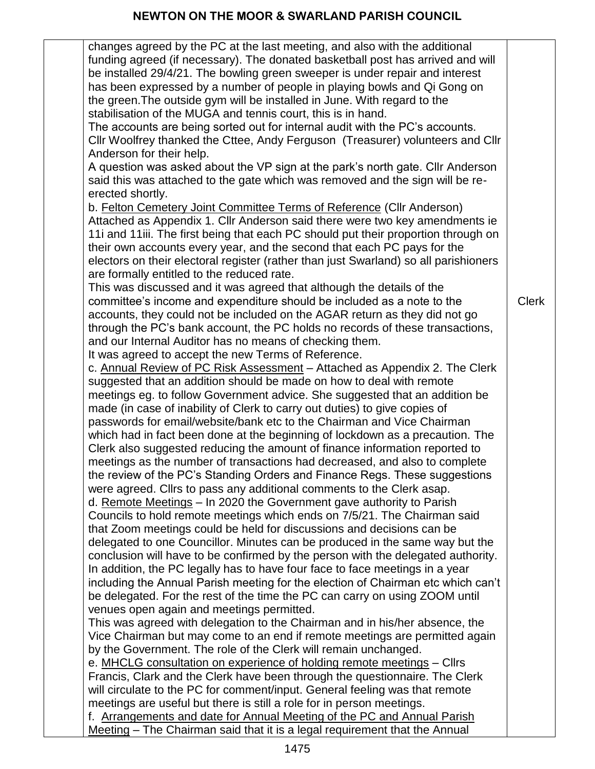# **NEWTON ON THE MOOR & SWARLAND PARISH COUNCIL**

| changes agreed by the PC at the last meeting, and also with the additional<br>funding agreed (if necessary). The donated basketball post has arrived and will<br>be installed 29/4/21. The bowling green sweeper is under repair and interest<br>has been expressed by a number of people in playing bowls and Qi Gong on<br>the green. The outside gym will be installed in June. With regard to the<br>stabilisation of the MUGA and tennis court, this is in hand.                                                                                                                                                                   |              |
|-----------------------------------------------------------------------------------------------------------------------------------------------------------------------------------------------------------------------------------------------------------------------------------------------------------------------------------------------------------------------------------------------------------------------------------------------------------------------------------------------------------------------------------------------------------------------------------------------------------------------------------------|--------------|
| The accounts are being sorted out for internal audit with the PC's accounts.<br>Cllr Woolfrey thanked the Cttee, Andy Ferguson (Treasurer) volunteers and Cllr<br>Anderson for their help.                                                                                                                                                                                                                                                                                                                                                                                                                                              |              |
| A question was asked about the VP sign at the park's north gate. Cllr Anderson<br>said this was attached to the gate which was removed and the sign will be re-<br>erected shortly.                                                                                                                                                                                                                                                                                                                                                                                                                                                     |              |
| b. Felton Cemetery Joint Committee Terms of Reference (Cllr Anderson)<br>Attached as Appendix 1. Cllr Anderson said there were two key amendments ie<br>11i and 11iii. The first being that each PC should put their proportion through on<br>their own accounts every year, and the second that each PC pays for the<br>electors on their electoral register (rather than just Swarland) so all parishioners                                                                                                                                                                                                                           |              |
| are formally entitled to the reduced rate.<br>This was discussed and it was agreed that although the details of the<br>committee's income and expenditure should be included as a note to the<br>accounts, they could not be included on the AGAR return as they did not go<br>through the PC's bank account, the PC holds no records of these transactions,<br>and our Internal Auditor has no means of checking them.<br>It was agreed to accept the new Terms of Reference.                                                                                                                                                          | <b>Clerk</b> |
| c. Annual Review of PC Risk Assessment - Attached as Appendix 2. The Clerk<br>suggested that an addition should be made on how to deal with remote<br>meetings eg. to follow Government advice. She suggested that an addition be<br>made (in case of inability of Clerk to carry out duties) to give copies of<br>passwords for email/website/bank etc to the Chairman and Vice Chairman<br>which had in fact been done at the beginning of lockdown as a precaution. The<br>Clerk also suggested reducing the amount of finance information reported to<br>meetings as the number of transactions had decreased, and also to complete |              |
| the review of the PC's Standing Orders and Finance Regs. These suggestions<br>were agreed. Clirs to pass any additional comments to the Clerk asap.<br>d. Remote Meetings - In 2020 the Government gave authority to Parish                                                                                                                                                                                                                                                                                                                                                                                                             |              |
| Councils to hold remote meetings which ends on 7/5/21. The Chairman said<br>that Zoom meetings could be held for discussions and decisions can be<br>delegated to one Councillor. Minutes can be produced in the same way but the<br>conclusion will have to be confirmed by the person with the delegated authority.                                                                                                                                                                                                                                                                                                                   |              |
| In addition, the PC legally has to have four face to face meetings in a year<br>including the Annual Parish meeting for the election of Chairman etc which can't<br>be delegated. For the rest of the time the PC can carry on using ZOOM until<br>venues open again and meetings permitted.                                                                                                                                                                                                                                                                                                                                            |              |
| This was agreed with delegation to the Chairman and in his/her absence, the<br>Vice Chairman but may come to an end if remote meetings are permitted again<br>by the Government. The role of the Clerk will remain unchanged.                                                                                                                                                                                                                                                                                                                                                                                                           |              |
| e. MHCLG consultation on experience of holding remote meetings - Cllrs<br>Francis, Clark and the Clerk have been through the questionnaire. The Clerk<br>will circulate to the PC for comment/input. General feeling was that remote<br>meetings are useful but there is still a role for in person meetings.                                                                                                                                                                                                                                                                                                                           |              |
| f. Arrangements and date for Annual Meeting of the PC and Annual Parish<br>Meeting – The Chairman said that it is a legal requirement that the Annual                                                                                                                                                                                                                                                                                                                                                                                                                                                                                   |              |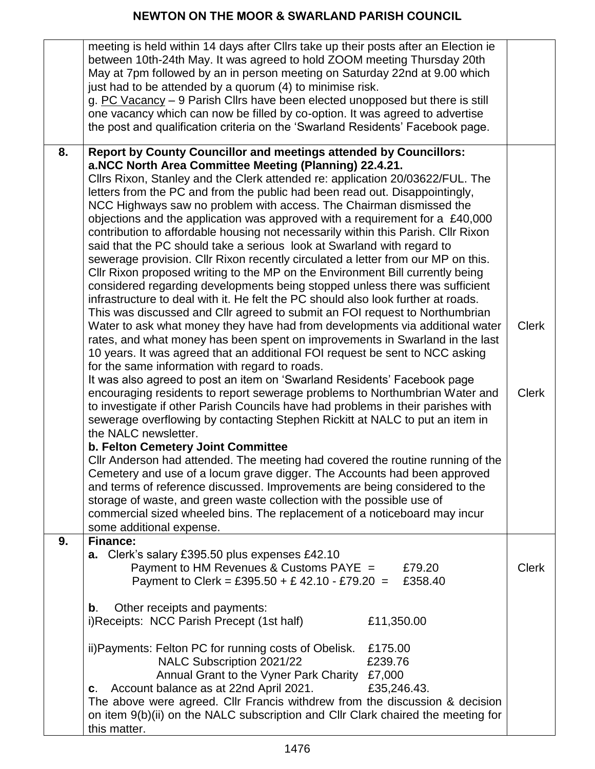|    | meeting is held within 14 days after Cllrs take up their posts after an Election ie<br>between 10th-24th May. It was agreed to hold ZOOM meeting Thursday 20th<br>May at 7pm followed by an in person meeting on Saturday 22nd at 9.00 which<br>just had to be attended by a quorum (4) to minimise risk.<br>g. PC Vacancy - 9 Parish Cllrs have been elected unopposed but there is still<br>one vacancy which can now be filled by co-option. It was agreed to advertise<br>the post and qualification criteria on the 'Swarland Residents' Facebook page.                                                                                                                                                                                                                                                                                                                                                                                                                                                                                                                                                                                                                                                                                                                                                                                                                                                                                                                                                                                                                                                                                                                      |                              |
|----|-----------------------------------------------------------------------------------------------------------------------------------------------------------------------------------------------------------------------------------------------------------------------------------------------------------------------------------------------------------------------------------------------------------------------------------------------------------------------------------------------------------------------------------------------------------------------------------------------------------------------------------------------------------------------------------------------------------------------------------------------------------------------------------------------------------------------------------------------------------------------------------------------------------------------------------------------------------------------------------------------------------------------------------------------------------------------------------------------------------------------------------------------------------------------------------------------------------------------------------------------------------------------------------------------------------------------------------------------------------------------------------------------------------------------------------------------------------------------------------------------------------------------------------------------------------------------------------------------------------------------------------------------------------------------------------|------------------------------|
| 8. | <b>Report by County Councillor and meetings attended by Councillors:</b><br>a.NCC North Area Committee Meeting (Planning) 22.4.21.<br>Cllrs Rixon, Stanley and the Clerk attended re: application 20/03622/FUL. The<br>letters from the PC and from the public had been read out. Disappointingly,<br>NCC Highways saw no problem with access. The Chairman dismissed the<br>objections and the application was approved with a requirement for a £40,000<br>contribution to affordable housing not necessarily within this Parish. Cllr Rixon<br>said that the PC should take a serious look at Swarland with regard to<br>sewerage provision. Cllr Rixon recently circulated a letter from our MP on this.<br>CIIr Rixon proposed writing to the MP on the Environment Bill currently being<br>considered regarding developments being stopped unless there was sufficient<br>infrastructure to deal with it. He felt the PC should also look further at roads.<br>This was discussed and Cllr agreed to submit an FOI request to Northumbrian<br>Water to ask what money they have had from developments via additional water<br>rates, and what money has been spent on improvements in Swarland in the last<br>10 years. It was agreed that an additional FOI request be sent to NCC asking<br>for the same information with regard to roads.<br>It was also agreed to post an item on 'Swarland Residents' Facebook page<br>encouraging residents to report sewerage problems to Northumbrian Water and<br>to investigate if other Parish Councils have had problems in their parishes with<br>sewerage overflowing by contacting Stephen Rickitt at NALC to put an item in | <b>Clerk</b><br><b>Clerk</b> |
|    | the NALC newsletter.<br><b>b. Felton Cemetery Joint Committee</b><br>CIIr Anderson had attended. The meeting had covered the routine running of the<br>Cemetery and use of a locum grave digger. The Accounts had been approved<br>and terms of reference discussed. Improvements are being considered to the<br>storage of waste, and green waste collection with the possible use of<br>commercial sized wheeled bins. The replacement of a noticeboard may incur<br>some additional expense.                                                                                                                                                                                                                                                                                                                                                                                                                                                                                                                                                                                                                                                                                                                                                                                                                                                                                                                                                                                                                                                                                                                                                                                   |                              |
| 9. | <b>Finance:</b><br>a. Clerk's salary £395.50 plus expenses £42.10<br>Payment to HM Revenues & Customs PAYE =<br>£79.20<br>Payment to Clerk = £395.50 + £ 42.10 - £79.20 =<br>£358.40                                                                                                                                                                                                                                                                                                                                                                                                                                                                                                                                                                                                                                                                                                                                                                                                                                                                                                                                                                                                                                                                                                                                                                                                                                                                                                                                                                                                                                                                                              | <b>Clerk</b>                 |
|    | Other receipts and payments:<br>b.<br>i)Receipts: NCC Parish Precept (1st half)<br>£11,350.00                                                                                                                                                                                                                                                                                                                                                                                                                                                                                                                                                                                                                                                                                                                                                                                                                                                                                                                                                                                                                                                                                                                                                                                                                                                                                                                                                                                                                                                                                                                                                                                     |                              |
|    | ii) Payments: Felton PC for running costs of Obelisk.<br>£175.00<br>NALC Subscription 2021/22<br>£239.76<br>Annual Grant to the Vyner Park Charity<br>£7,000<br>Account balance as at 22nd April 2021.<br>£35,246.43.<br>C.<br>The above were agreed. Cllr Francis withdrew from the discussion & decision<br>on item 9(b)(ii) on the NALC subscription and CIIr Clark chaired the meeting for<br>this matter.                                                                                                                                                                                                                                                                                                                                                                                                                                                                                                                                                                                                                                                                                                                                                                                                                                                                                                                                                                                                                                                                                                                                                                                                                                                                    |                              |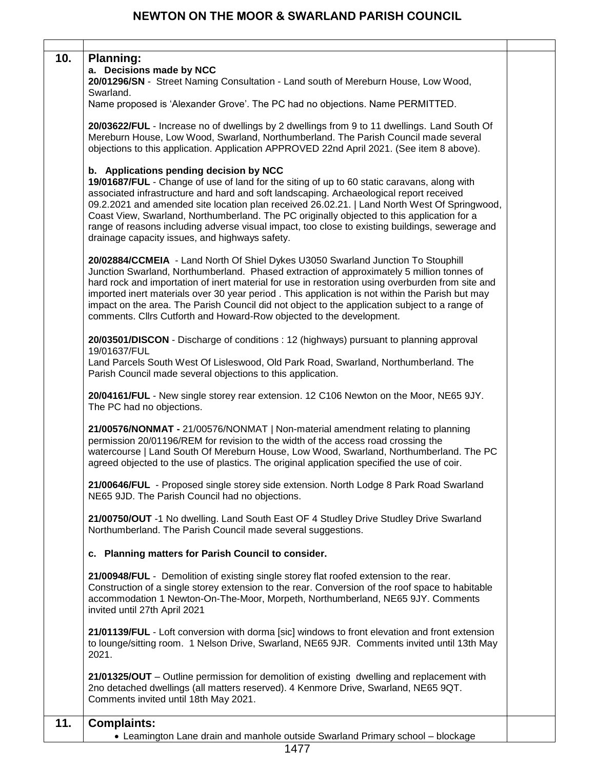| 10. | <b>Planning:</b><br>a. Decisions made by NCC<br>20/01296/SN - Street Naming Consultation - Land south of Mereburn House, Low Wood,<br>Swarland.<br>Name proposed is 'Alexander Grove'. The PC had no objections. Name PERMITTED.                                                                                                                                                                                                                                                                                                                                                     |  |
|-----|--------------------------------------------------------------------------------------------------------------------------------------------------------------------------------------------------------------------------------------------------------------------------------------------------------------------------------------------------------------------------------------------------------------------------------------------------------------------------------------------------------------------------------------------------------------------------------------|--|
|     | 20/03622/FUL - Increase no of dwellings by 2 dwellings from 9 to 11 dwellings. Land South Of<br>Mereburn House, Low Wood, Swarland, Northumberland. The Parish Council made several<br>objections to this application. Application APPROVED 22nd April 2021. (See item 8 above).                                                                                                                                                                                                                                                                                                     |  |
|     | b. Applications pending decision by NCC<br>19/01687/FUL - Change of use of land for the siting of up to 60 static caravans, along with<br>associated infrastructure and hard and soft landscaping. Archaeological report received<br>09.2.2021 and amended site location plan received 26.02.21.   Land North West Of Springwood,<br>Coast View, Swarland, Northumberland. The PC originally objected to this application for a<br>range of reasons including adverse visual impact, too close to existing buildings, sewerage and<br>drainage capacity issues, and highways safety. |  |
|     | 20/02884/CCMEIA - Land North Of Shiel Dykes U3050 Swarland Junction To Stouphill<br>Junction Swarland, Northumberland. Phased extraction of approximately 5 million tonnes of<br>hard rock and importation of inert material for use in restoration using overburden from site and<br>imported inert materials over 30 year period. This application is not within the Parish but may<br>impact on the area. The Parish Council did not object to the application subject to a range of<br>comments. Cllrs Cutforth and Howard-Row objected to the development.                      |  |
|     | 20/03501/DISCON - Discharge of conditions : 12 (highways) pursuant to planning approval<br>19/01637/FUL<br>Land Parcels South West Of Lisleswood, Old Park Road, Swarland, Northumberland. The<br>Parish Council made several objections to this application.                                                                                                                                                                                                                                                                                                                        |  |
|     | 20/04161/FUL - New single storey rear extension. 12 C106 Newton on the Moor, NE65 9JY.<br>The PC had no objections.                                                                                                                                                                                                                                                                                                                                                                                                                                                                  |  |
|     | 21/00576/NONMAT - 21/00576/NONMAT   Non-material amendment relating to planning<br>permission 20/01196/REM for revision to the width of the access road crossing the<br>watercourse   Land South Of Mereburn House, Low Wood, Swarland, Northumberland. The PC<br>agreed objected to the use of plastics. The original application specified the use of coir.                                                                                                                                                                                                                        |  |
|     | 21/00646/FUL - Proposed single storey side extension. North Lodge 8 Park Road Swarland<br>NE65 9JD. The Parish Council had no objections.                                                                                                                                                                                                                                                                                                                                                                                                                                            |  |
|     | 21/00750/OUT -1 No dwelling. Land South East OF 4 Studley Drive Studley Drive Swarland<br>Northumberland. The Parish Council made several suggestions.                                                                                                                                                                                                                                                                                                                                                                                                                               |  |
|     | c. Planning matters for Parish Council to consider.                                                                                                                                                                                                                                                                                                                                                                                                                                                                                                                                  |  |
|     | 21/00948/FUL - Demolition of existing single storey flat roofed extension to the rear.<br>Construction of a single storey extension to the rear. Conversion of the roof space to habitable<br>accommodation 1 Newton-On-The-Moor, Morpeth, Northumberland, NE65 9JY. Comments<br>invited until 27th April 2021                                                                                                                                                                                                                                                                       |  |
|     | 21/01139/FUL - Loft conversion with dorma [sic] windows to front elevation and front extension<br>to lounge/sitting room. 1 Nelson Drive, Swarland, NE65 9JR. Comments invited until 13th May<br>2021.                                                                                                                                                                                                                                                                                                                                                                               |  |
|     | 21/01325/OUT - Outline permission for demolition of existing dwelling and replacement with<br>2no detached dwellings (all matters reserved). 4 Kenmore Drive, Swarland, NE65 9QT.<br>Comments invited until 18th May 2021.                                                                                                                                                                                                                                                                                                                                                           |  |
| 11. | <b>Complaints:</b>                                                                                                                                                                                                                                                                                                                                                                                                                                                                                                                                                                   |  |
|     | • Leamington Lane drain and manhole outside Swarland Primary school - blockage                                                                                                                                                                                                                                                                                                                                                                                                                                                                                                       |  |